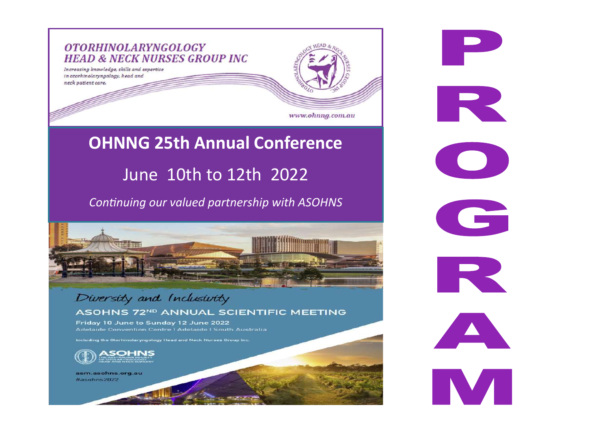

**P** 

R

G

**PR** 

**INTERNATIONAL** 

## **OHNNG 25th Annual Conference**

### June 10th to 12th 2022

*Continuing our valued partnership with ASOHNS* 



#### Diversity and Inclusivity ASOHNS 72ND ANNUAL SCIENTIFIC MEETING

Friday 10 June to Sunday 12 June 2022 Adelaide Convention Centre | Adelaide | South Australia

Including the Otorhinolaryngology Head and Neck Nurses Group Inc.



asm.asohns.org.au #asohns2022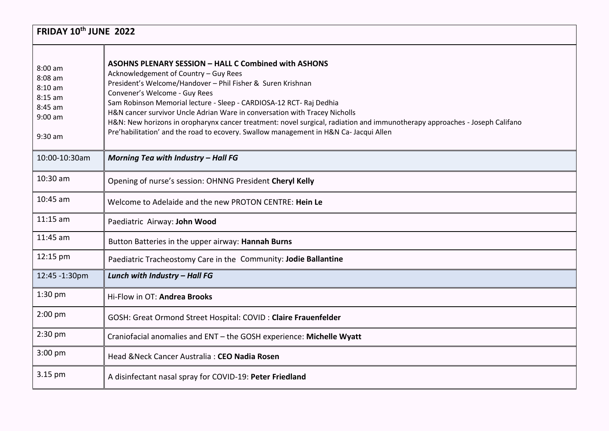| FRIDAY 10th JUNE 2022                                                               |                                                                                                                                                                                                                                                                                                                                                                                                                                                                                                                                                                                  |  |
|-------------------------------------------------------------------------------------|----------------------------------------------------------------------------------------------------------------------------------------------------------------------------------------------------------------------------------------------------------------------------------------------------------------------------------------------------------------------------------------------------------------------------------------------------------------------------------------------------------------------------------------------------------------------------------|--|
| 8:00 am<br>$8:08$ am<br>$8:10$ am<br>$8:15$ am<br>8:45 am<br>$9:00$ am<br>$9:30$ am | <b>ASOHNS PLENARY SESSION - HALL C Combined with ASHONS</b><br>Acknowledgement of Country - Guy Rees<br>President's Welcome/Handover - Phil Fisher & Suren Krishnan<br>Convener's Welcome - Guy Rees<br>Sam Robinson Memorial lecture - Sleep - CARDIOSA-12 RCT- Raj Dedhia<br>H&N cancer survivor Uncle Adrian Ware in conversation with Tracey Nicholls<br>H&N: New horizons in oropharynx cancer treatment: novel surgical, radiation and immunotherapy approaches - Joseph Califano<br>Pre'habilitation' and the road to ecovery. Swallow management in H&N Ca- Jacqui Allen |  |
| 10:00-10:30am                                                                       | Morning Tea with Industry - Hall FG                                                                                                                                                                                                                                                                                                                                                                                                                                                                                                                                              |  |
| 10:30 am                                                                            | Opening of nurse's session: OHNNG President Cheryl Kelly                                                                                                                                                                                                                                                                                                                                                                                                                                                                                                                         |  |
| 10:45 am                                                                            | Welcome to Adelaide and the new PROTON CENTRE: Hein Le                                                                                                                                                                                                                                                                                                                                                                                                                                                                                                                           |  |
| $11:15$ am                                                                          | Paediatric Airway: John Wood                                                                                                                                                                                                                                                                                                                                                                                                                                                                                                                                                     |  |
| 11:45 am                                                                            | Button Batteries in the upper airway: Hannah Burns                                                                                                                                                                                                                                                                                                                                                                                                                                                                                                                               |  |
| 12:15 pm                                                                            | Paediatric Tracheostomy Care in the Community: Jodie Ballantine                                                                                                                                                                                                                                                                                                                                                                                                                                                                                                                  |  |
| 12:45 -1:30pm                                                                       | Lunch with Industry - Hall FG                                                                                                                                                                                                                                                                                                                                                                                                                                                                                                                                                    |  |
| 1:30 pm                                                                             | Hi-Flow in OT: Andrea Brooks                                                                                                                                                                                                                                                                                                                                                                                                                                                                                                                                                     |  |
| $2:00$ pm                                                                           | GOSH: Great Ormond Street Hospital: COVID: Claire Frauenfelder                                                                                                                                                                                                                                                                                                                                                                                                                                                                                                                   |  |
| $2:30$ pm                                                                           | Craniofacial anomalies and ENT - the GOSH experience: Michelle Wyatt                                                                                                                                                                                                                                                                                                                                                                                                                                                                                                             |  |
| 3:00 pm                                                                             | Head & Neck Cancer Australia: CEO Nadia Rosen                                                                                                                                                                                                                                                                                                                                                                                                                                                                                                                                    |  |
| 3.15 pm                                                                             | A disinfectant nasal spray for COVID-19: Peter Friedland                                                                                                                                                                                                                                                                                                                                                                                                                                                                                                                         |  |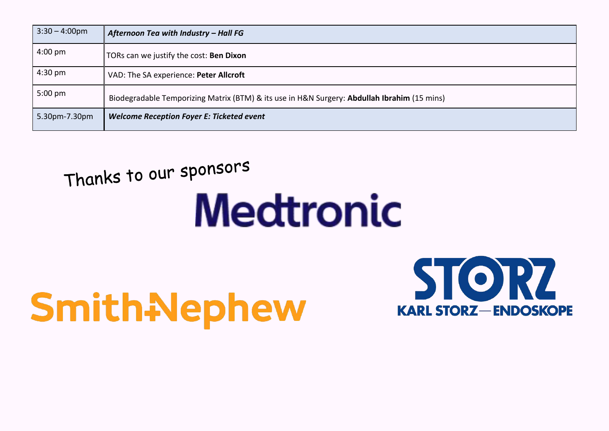| $3:30 - 4:00 \text{pm}$ | Afternoon Tea with Industry - Hall FG                                                       |
|-------------------------|---------------------------------------------------------------------------------------------|
| $4:00 \text{ pm}$       | TORs can we justify the cost: Ben Dixon                                                     |
| $4:30 \text{ pm}$       | VAD: The SA experience: Peter Allcroft                                                      |
| $5:00 \text{ pm}$       | Biodegradable Temporizing Matrix (BTM) & its use in H&N Surgery: Abdullah Ibrahim (15 mins) |
| 5.30pm-7.30pm           | <b>Welcome Reception Foyer E: Ticketed event</b>                                            |

## Thanks to our sponsors

# **Medtronic**

# SmithNephew

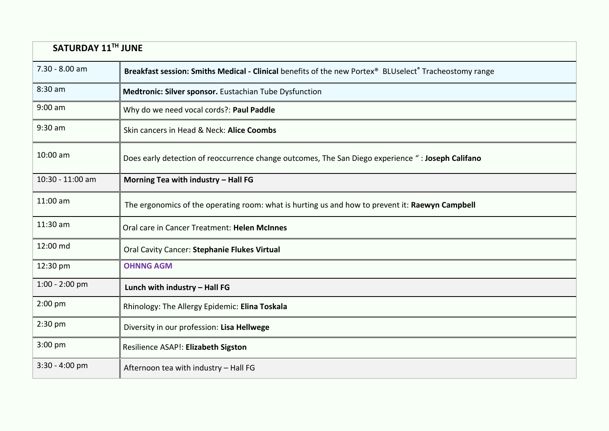| SATURDAY 11TH JUNE |                                                                                                        |  |
|--------------------|--------------------------------------------------------------------------------------------------------|--|
| 7.30 - 8.00 am     | Breakfast session: Smiths Medical - Clinical benefits of the new Portex® BLUselect® Tracheostomy range |  |
| 8:30 am            | Medtronic: Silver sponsor. Eustachian Tube Dysfunction                                                 |  |
| $9:00$ am          | Why do we need vocal cords?: Paul Paddle                                                               |  |
| $9:30$ am          | Skin cancers in Head & Neck: Alice Coombs                                                              |  |
| 10:00 am           | Does early detection of reoccurrence change outcomes, The San Diego experience ": Joseph Califano      |  |
| 10:30 - 11:00 am   | Morning Tea with industry - Hall FG                                                                    |  |
| 11:00 am           | The ergonomics of the operating room: what is hurting us and how to prevent it: Raewyn Campbell        |  |
| 11:30 am           | Oral care in Cancer Treatment: Helen McInnes                                                           |  |
| 12:00 md           | Oral Cavity Cancer: Stephanie Flukes Virtual                                                           |  |
| 12:30 pm           | <b>OHNNG AGM</b>                                                                                       |  |
| $1:00 - 2:00$ pm   | Lunch with industry - Hall FG                                                                          |  |
| 2:00 pm            | Rhinology: The Allergy Epidemic: Elina Toskala                                                         |  |
| $2:30$ pm          | Diversity in our profession: Lisa Hellwege                                                             |  |
| $3:00$ pm          | Resilience ASAP!: Elizabeth Sigston                                                                    |  |
| $3:30 - 4:00$ pm   | Afternoon tea with industry - Hall FG                                                                  |  |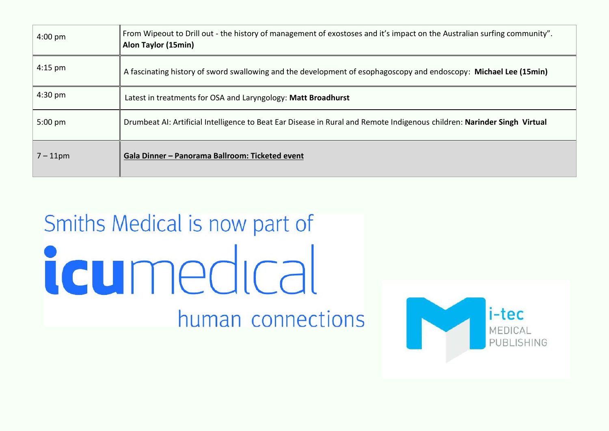| $4:00 \text{ pm}$ | From Wipeout to Drill out - the history of management of exostoses and it's impact on the Australian surfing community".<br>Alon Taylor (15min) |
|-------------------|-------------------------------------------------------------------------------------------------------------------------------------------------|
| $4:15$ pm         | A fascinating history of sword swallowing and the development of esophagoscopy and endoscopy: Michael Lee (15min)                               |
| $4:30$ pm         | Latest in treatments for OSA and Laryngology: Matt Broadhurst                                                                                   |
| $5:00$ pm         | Drumbeat AI: Artificial Intelligence to Beat Ear Disease in Rural and Remote Indigenous children: Narinder Singh Virtual                        |
| $7 - 11$ pm       | Gala Dinner - Panorama Ballroom: Ticketed event                                                                                                 |

# Smiths Medical is now part of icumedical human connections